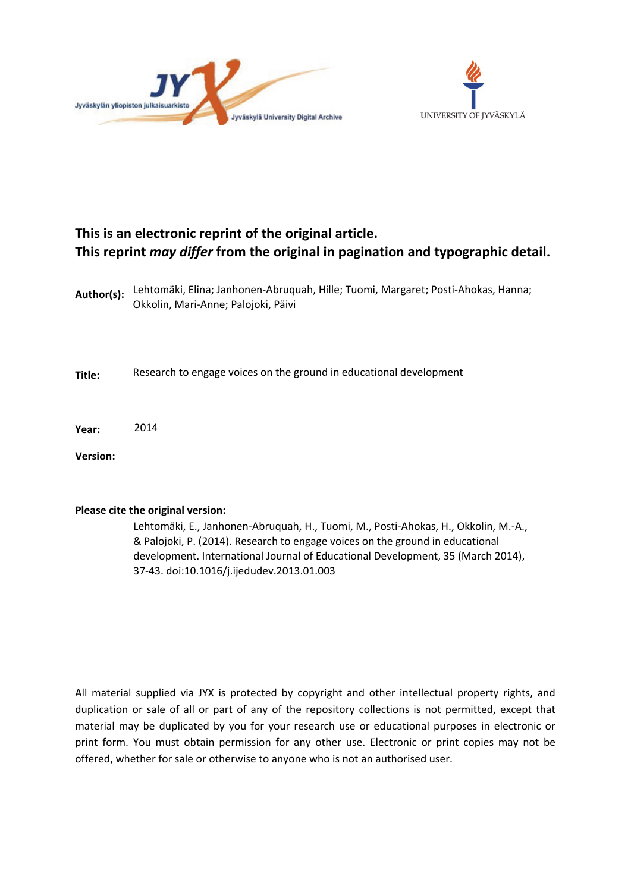



# **This is an electronic reprint of the original article. This reprint** *may differ* **from the original in pagination and typographic detail.**

**Author(s):**  Lehtomäki, Elina; Janhonen-Abruquah, Hille; Tuomi, Margaret; Posti-Ahokas, Hanna; Okkolin, Mari-Anne; Palojoki, Päivi

**Title:** Research to engage voices on the ground in educational development

**Year:**  2014

**Version:**

## **Please cite the original version:**

Lehtomäki, E., Janhonen-Abruquah, H., Tuomi, M., Posti-Ahokas, H., Okkolin, M.-A., & Palojoki, P. (2014). Research to engage voices on the ground in educational development. International Journal of Educational Development, 35 (March 2014), 37-43. doi:10.1016/j.ijedudev.2013.01.003

All material supplied via JYX is protected by copyright and other intellectual property rights, and duplication or sale of all or part of any of the repository collections is not permitted, except that material may be duplicated by you for your research use or educational purposes in electronic or print form. You must obtain permission for any other use. Electronic or print copies may not be offered, whether for sale or otherwise to anyone who is not an authorised user.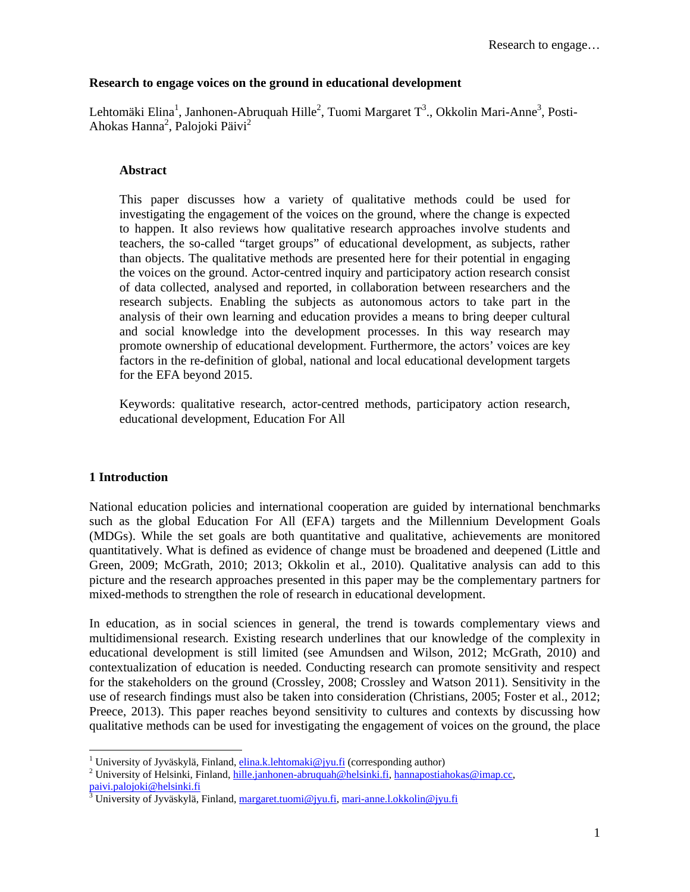## **Research to engage voices on the ground in educational development**

Lehtomäki Elina<sup>1</sup>, Janhonen-Abruquah Hille<sup>2</sup>, Tuomi Margaret T<sup>3</sup>., Okkolin Mari-Anne<sup>3</sup>, Posti-Ahokas Hanna<sup>2</sup>, Palojoki Päivi<sup>2</sup>

## **Abstract**

This paper discusses how a variety of qualitative methods could be used for investigating the engagement of the voices on the ground, where the change is expected to happen. It also reviews how qualitative research approaches involve students and teachers, the so-called "target groups" of educational development, as subjects, rather than objects. The qualitative methods are presented here for their potential in engaging the voices on the ground. Actor-centred inquiry and participatory action research consist of data collected, analysed and reported, in collaboration between researchers and the research subjects. Enabling the subjects as autonomous actors to take part in the analysis of their own learning and education provides a means to bring deeper cultural and social knowledge into the development processes. In this way research may promote ownership of educational development. Furthermore, the actors' voices are key factors in the re-definition of global, national and local educational development targets for the EFA beyond 2015.

Keywords: qualitative research, actor-centred methods, participatory action research, educational development, Education For All

## **1 Introduction**

 $\overline{a}$ 

National education policies and international cooperation are guided by international benchmarks such as the global Education For All (EFA) targets and the Millennium Development Goals (MDGs). While the set goals are both quantitative and qualitative, achievements are monitored quantitatively. What is defined as evidence of change must be broadened and deepened (Little and Green, 2009; McGrath, 2010; 2013; Okkolin et al., 2010). Qualitative analysis can add to this picture and the research approaches presented in this paper may be the complementary partners for mixed-methods to strengthen the role of research in educational development.

In education, as in social sciences in general, the trend is towards complementary views and multidimensional research. Existing research underlines that our knowledge of the complexity in educational development is still limited (see Amundsen and Wilson, 2012; McGrath, 2010) and contextualization of education is needed. Conducting research can promote sensitivity and respect for the stakeholders on the ground (Crossley, 2008; Crossley and Watson 2011). Sensitivity in the use of research findings must also be taken into consideration (Christians, 2005; Foster et al., 2012; Preece, 2013). This paper reaches beyond sensitivity to cultures and contexts by discussing how qualitative methods can be used for investigating the engagement of voices on the ground, the place

<sup>&</sup>lt;sup>1</sup> University of Jyväskylä, Finland, <u>elina.k.lehtomaki@jyu.fi</u> (corresponding author)  $\frac{2}{\pi}$  University of Helsinki. Einland, hills ienhopen ahmaveh@helsinki fi, hennepostisk

<sup>&</sup>lt;sup>2</sup> University of Helsinki, Finland, hille.janhonen-abruquah@helsinki.fi, hannapostiahokas@imap.cc, paivi.palojoki@helsinki.fi

<sup>3</sup> University of Jyväskylä, Finland, margaret.tuomi@jyu.fi, mari-anne.l.okkolin@jyu.fi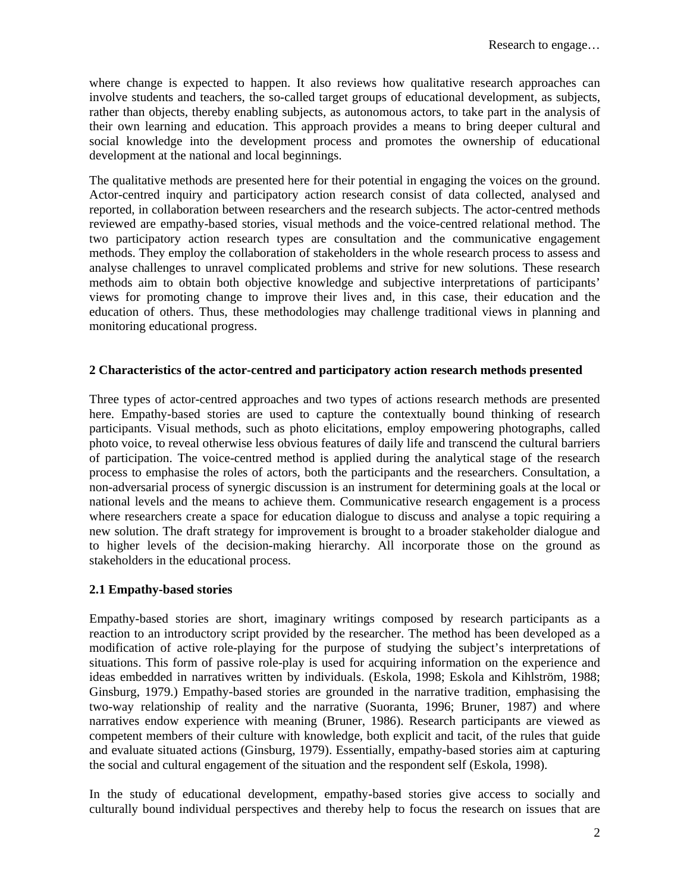where change is expected to happen. It also reviews how qualitative research approaches can involve students and teachers, the so-called target groups of educational development, as subjects, rather than objects, thereby enabling subjects, as autonomous actors, to take part in the analysis of their own learning and education. This approach provides a means to bring deeper cultural and social knowledge into the development process and promotes the ownership of educational development at the national and local beginnings.

The qualitative methods are presented here for their potential in engaging the voices on the ground. Actor-centred inquiry and participatory action research consist of data collected, analysed and reported, in collaboration between researchers and the research subjects. The actor-centred methods reviewed are empathy-based stories, visual methods and the voice-centred relational method. The two participatory action research types are consultation and the communicative engagement methods. They employ the collaboration of stakeholders in the whole research process to assess and analyse challenges to unravel complicated problems and strive for new solutions. These research methods aim to obtain both objective knowledge and subjective interpretations of participants' views for promoting change to improve their lives and, in this case, their education and the education of others. Thus, these methodologies may challenge traditional views in planning and monitoring educational progress.

## **2 Characteristics of the actor-centred and participatory action research methods presented**

Three types of actor-centred approaches and two types of actions research methods are presented here. Empathy-based stories are used to capture the contextually bound thinking of research participants. Visual methods, such as photo elicitations, employ empowering photographs, called photo voice, to reveal otherwise less obvious features of daily life and transcend the cultural barriers of participation. The voice-centred method is applied during the analytical stage of the research process to emphasise the roles of actors, both the participants and the researchers. Consultation, a non-adversarial process of synergic discussion is an instrument for determining goals at the local or national levels and the means to achieve them. Communicative research engagement is a process where researchers create a space for education dialogue to discuss and analyse a topic requiring a new solution. The draft strategy for improvement is brought to a broader stakeholder dialogue and to higher levels of the decision-making hierarchy. All incorporate those on the ground as stakeholders in the educational process.

## **2.1 Empathy-based stories**

Empathy-based stories are short, imaginary writings composed by research participants as a reaction to an introductory script provided by the researcher. The method has been developed as a modification of active role-playing for the purpose of studying the subject's interpretations of situations. This form of passive role-play is used for acquiring information on the experience and ideas embedded in narratives written by individuals. (Eskola, 1998; Eskola and Kihlström, 1988; Ginsburg, 1979.) Empathy-based stories are grounded in the narrative tradition, emphasising the two-way relationship of reality and the narrative (Suoranta, 1996; Bruner, 1987) and where narratives endow experience with meaning (Bruner, 1986). Research participants are viewed as competent members of their culture with knowledge, both explicit and tacit, of the rules that guide and evaluate situated actions (Ginsburg, 1979). Essentially, empathy-based stories aim at capturing the social and cultural engagement of the situation and the respondent self (Eskola, 1998).

In the study of educational development, empathy-based stories give access to socially and culturally bound individual perspectives and thereby help to focus the research on issues that are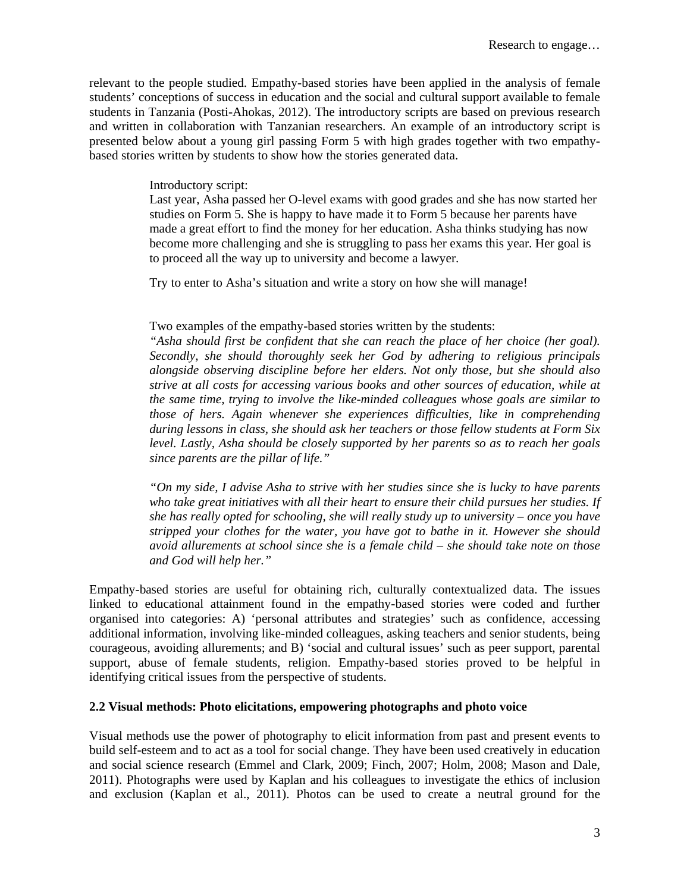relevant to the people studied. Empathy-based stories have been applied in the analysis of female students' conceptions of success in education and the social and cultural support available to female students in Tanzania (Posti-Ahokas, 2012). The introductory scripts are based on previous research and written in collaboration with Tanzanian researchers. An example of an introductory script is presented below about a young girl passing Form 5 with high grades together with two empathybased stories written by students to show how the stories generated data.

## Introductory script:

Last year, Asha passed her O-level exams with good grades and she has now started her studies on Form 5. She is happy to have made it to Form 5 because her parents have made a great effort to find the money for her education. Asha thinks studying has now become more challenging and she is struggling to pass her exams this year. Her goal is to proceed all the way up to university and become a lawyer.

Try to enter to Asha's situation and write a story on how she will manage!

## Two examples of the empathy-based stories written by the students:

*"Asha should first be confident that she can reach the place of her choice (her goal). Secondly, she should thoroughly seek her God by adhering to religious principals alongside observing discipline before her elders. Not only those, but she should also strive at all costs for accessing various books and other sources of education, while at the same time, trying to involve the like-minded colleagues whose goals are similar to those of hers. Again whenever she experiences difficulties, like in comprehending during lessons in class, she should ask her teachers or those fellow students at Form Six level. Lastly, Asha should be closely supported by her parents so as to reach her goals since parents are the pillar of life."* 

*"On my side, I advise Asha to strive with her studies since she is lucky to have parents who take great initiatives with all their heart to ensure their child pursues her studies. If she has really opted for schooling, she will really study up to university – once you have stripped your clothes for the water, you have got to bathe in it. However she should avoid allurements at school since she is a female child – she should take note on those and God will help her."* 

Empathy-based stories are useful for obtaining rich, culturally contextualized data. The issues linked to educational attainment found in the empathy-based stories were coded and further organised into categories: A) 'personal attributes and strategies' such as confidence, accessing additional information, involving like-minded colleagues, asking teachers and senior students, being courageous, avoiding allurements; and B) 'social and cultural issues' such as peer support, parental support, abuse of female students, religion. Empathy-based stories proved to be helpful in identifying critical issues from the perspective of students.

## **2.2 Visual methods: Photo elicitations, empowering photographs and photo voice**

Visual methods use the power of photography to elicit information from past and present events to build self-esteem and to act as a tool for social change. They have been used creatively in education and social science research (Emmel and Clark, 2009; Finch, 2007; Holm, 2008; Mason and Dale, 2011). Photographs were used by Kaplan and his colleagues to investigate the ethics of inclusion and exclusion (Kaplan et al., 2011). Photos can be used to create a neutral ground for the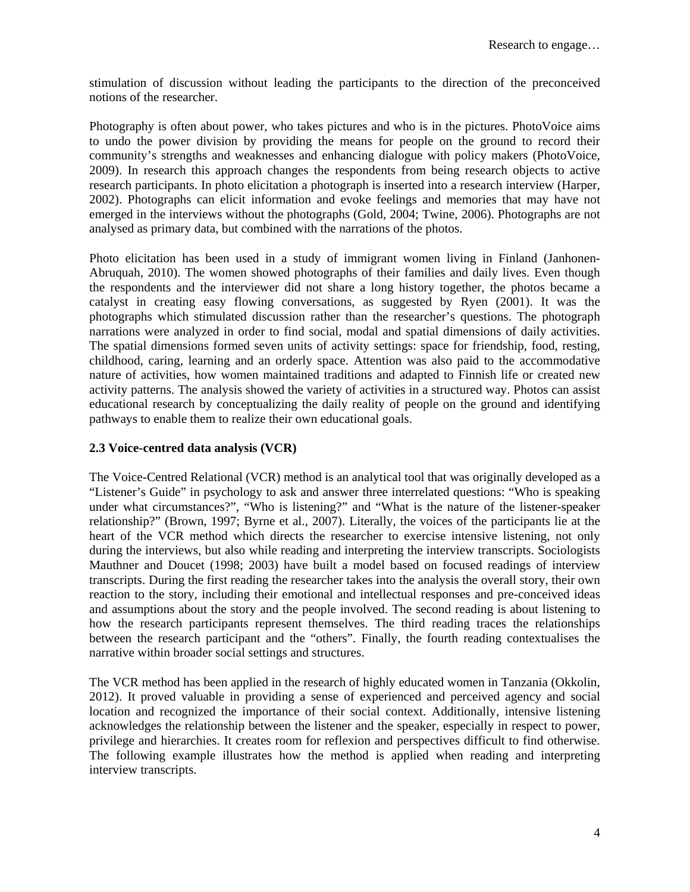stimulation of discussion without leading the participants to the direction of the preconceived notions of the researcher.

Photography is often about power, who takes pictures and who is in the pictures. PhotoVoice aims to undo the power division by providing the means for people on the ground to record their community's strengths and weaknesses and enhancing dialogue with policy makers (PhotoVoice, 2009). In research this approach changes the respondents from being research objects to active research participants. In photo elicitation a photograph is inserted into a research interview (Harper, 2002). Photographs can elicit information and evoke feelings and memories that may have not emerged in the interviews without the photographs (Gold, 2004; Twine, 2006). Photographs are not analysed as primary data, but combined with the narrations of the photos.

Photo elicitation has been used in a study of immigrant women living in Finland (Janhonen-Abruquah, 2010). The women showed photographs of their families and daily lives. Even though the respondents and the interviewer did not share a long history together, the photos became a catalyst in creating easy flowing conversations, as suggested by Ryen (2001). It was the photographs which stimulated discussion rather than the researcher's questions. The photograph narrations were analyzed in order to find social, modal and spatial dimensions of daily activities. The spatial dimensions formed seven units of activity settings: space for friendship, food, resting, childhood, caring, learning and an orderly space. Attention was also paid to the accommodative nature of activities, how women maintained traditions and adapted to Finnish life or created new activity patterns. The analysis showed the variety of activities in a structured way. Photos can assist educational research by conceptualizing the daily reality of people on the ground and identifying pathways to enable them to realize their own educational goals.

## **2.3 Voice-centred data analysis (VCR)**

The Voice-Centred Relational (VCR) method is an analytical tool that was originally developed as a "Listener's Guide" in psychology to ask and answer three interrelated questions: "Who is speaking under what circumstances?", "Who is listening?" and "What is the nature of the listener-speaker relationship?" (Brown, 1997; Byrne et al., 2007). Literally, the voices of the participants lie at the heart of the VCR method which directs the researcher to exercise intensive listening, not only during the interviews, but also while reading and interpreting the interview transcripts. Sociologists Mauthner and Doucet (1998; 2003) have built a model based on focused readings of interview transcripts. During the first reading the researcher takes into the analysis the overall story, their own reaction to the story, including their emotional and intellectual responses and pre-conceived ideas and assumptions about the story and the people involved. The second reading is about listening to how the research participants represent themselves. The third reading traces the relationships between the research participant and the "others". Finally, the fourth reading contextualises the narrative within broader social settings and structures.

The VCR method has been applied in the research of highly educated women in Tanzania (Okkolin, 2012). It proved valuable in providing a sense of experienced and perceived agency and social location and recognized the importance of their social context. Additionally, intensive listening acknowledges the relationship between the listener and the speaker, especially in respect to power, privilege and hierarchies. It creates room for reflexion and perspectives difficult to find otherwise. The following example illustrates how the method is applied when reading and interpreting interview transcripts.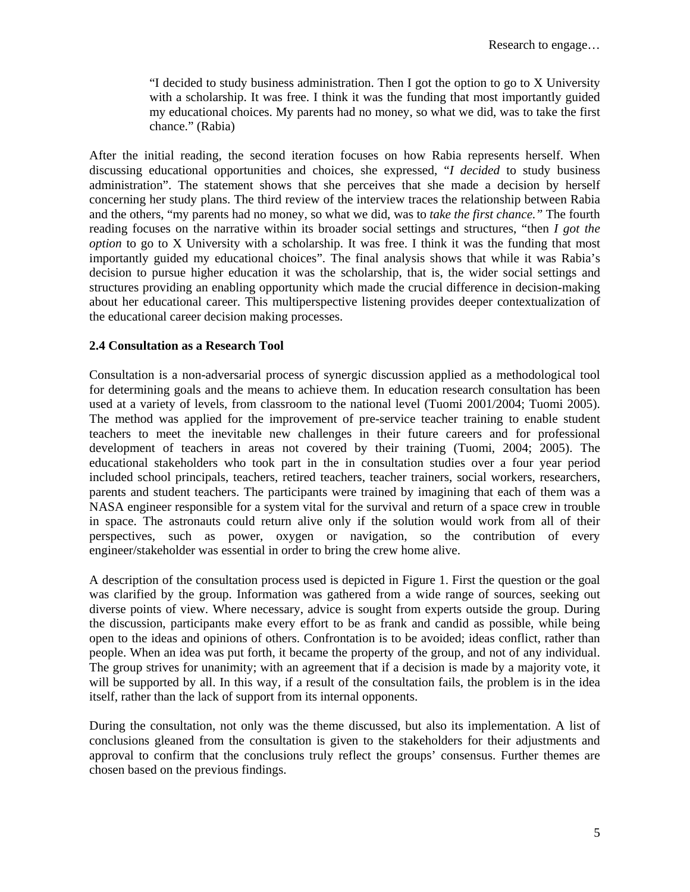"I decided to study business administration. Then I got the option to go to X University with a scholarship. It was free. I think it was the funding that most importantly guided my educational choices. My parents had no money, so what we did, was to take the first chance." (Rabia)

After the initial reading, the second iteration focuses on how Rabia represents herself. When discussing educational opportunities and choices, she expressed, "*I decided* to study business administration". The statement shows that she perceives that she made a decision by herself concerning her study plans. The third review of the interview traces the relationship between Rabia and the others, "my parents had no money, so what we did, was to *take the first chance."* The fourth reading focuses on the narrative within its broader social settings and structures, "then *I got the option* to go to X University with a scholarship. It was free. I think it was the funding that most importantly guided my educational choices". The final analysis shows that while it was Rabia's decision to pursue higher education it was the scholarship, that is, the wider social settings and structures providing an enabling opportunity which made the crucial difference in decision-making about her educational career. This multiperspective listening provides deeper contextualization of the educational career decision making processes.

## **2.4 Consultation as a Research Tool**

Consultation is a non-adversarial process of synergic discussion applied as a methodological tool for determining goals and the means to achieve them. In education research consultation has been used at a variety of levels, from classroom to the national level (Tuomi 2001/2004; Tuomi 2005). The method was applied for the improvement of pre-service teacher training to enable student teachers to meet the inevitable new challenges in their future careers and for professional development of teachers in areas not covered by their training (Tuomi, 2004; 2005). The educational stakeholders who took part in the in consultation studies over a four year period included school principals, teachers, retired teachers, teacher trainers, social workers, researchers, parents and student teachers. The participants were trained by imagining that each of them was a NASA engineer responsible for a system vital for the survival and return of a space crew in trouble in space. The astronauts could return alive only if the solution would work from all of their perspectives, such as power, oxygen or navigation, so the contribution of every engineer/stakeholder was essential in order to bring the crew home alive.

A description of the consultation process used is depicted in Figure 1. First the question or the goal was clarified by the group. Information was gathered from a wide range of sources, seeking out diverse points of view. Where necessary, advice is sought from experts outside the group. During the discussion, participants make every effort to be as frank and candid as possible, while being open to the ideas and opinions of others. Confrontation is to be avoided; ideas conflict, rather than people. When an idea was put forth, it became the property of the group, and not of any individual. The group strives for unanimity; with an agreement that if a decision is made by a majority vote, it will be supported by all. In this way, if a result of the consultation fails, the problem is in the idea itself, rather than the lack of support from its internal opponents.

During the consultation, not only was the theme discussed, but also its implementation. A list of conclusions gleaned from the consultation is given to the stakeholders for their adjustments and approval to confirm that the conclusions truly reflect the groups' consensus. Further themes are chosen based on the previous findings.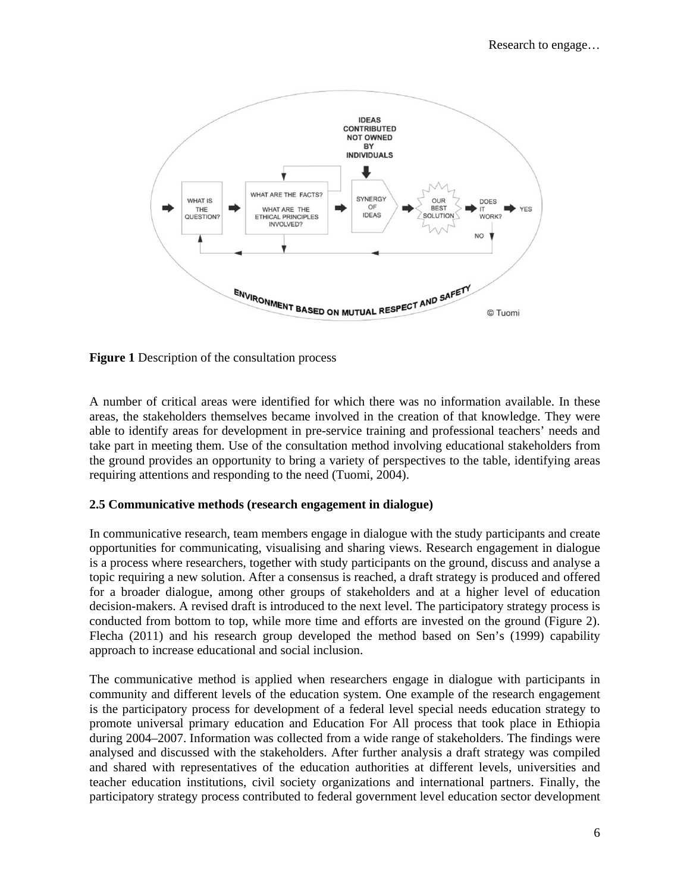

**Figure 1** Description of the consultation process

A number of critical areas were identified for which there was no information available. In these areas, the stakeholders themselves became involved in the creation of that knowledge. They were able to identify areas for development in pre-service training and professional teachers' needs and take part in meeting them. Use of the consultation method involving educational stakeholders from the ground provides an opportunity to bring a variety of perspectives to the table, identifying areas requiring attentions and responding to the need (Tuomi, 2004).

## **2.5 Communicative methods (research engagement in dialogue)**

In communicative research, team members engage in dialogue with the study participants and create opportunities for communicating, visualising and sharing views. Research engagement in dialogue is a process where researchers, together with study participants on the ground, discuss and analyse a topic requiring a new solution. After a consensus is reached, a draft strategy is produced and offered for a broader dialogue, among other groups of stakeholders and at a higher level of education decision-makers. A revised draft is introduced to the next level. The participatory strategy process is conducted from bottom to top, while more time and efforts are invested on the ground (Figure 2). Flecha (2011) and his research group developed the method based on Sen's (1999) capability approach to increase educational and social inclusion.

The communicative method is applied when researchers engage in dialogue with participants in community and different levels of the education system. One example of the research engagement is the participatory process for development of a federal level special needs education strategy to promote universal primary education and Education For All process that took place in Ethiopia during 2004–2007. Information was collected from a wide range of stakeholders. The findings were analysed and discussed with the stakeholders. After further analysis a draft strategy was compiled and shared with representatives of the education authorities at different levels, universities and teacher education institutions, civil society organizations and international partners. Finally, the participatory strategy process contributed to federal government level education sector development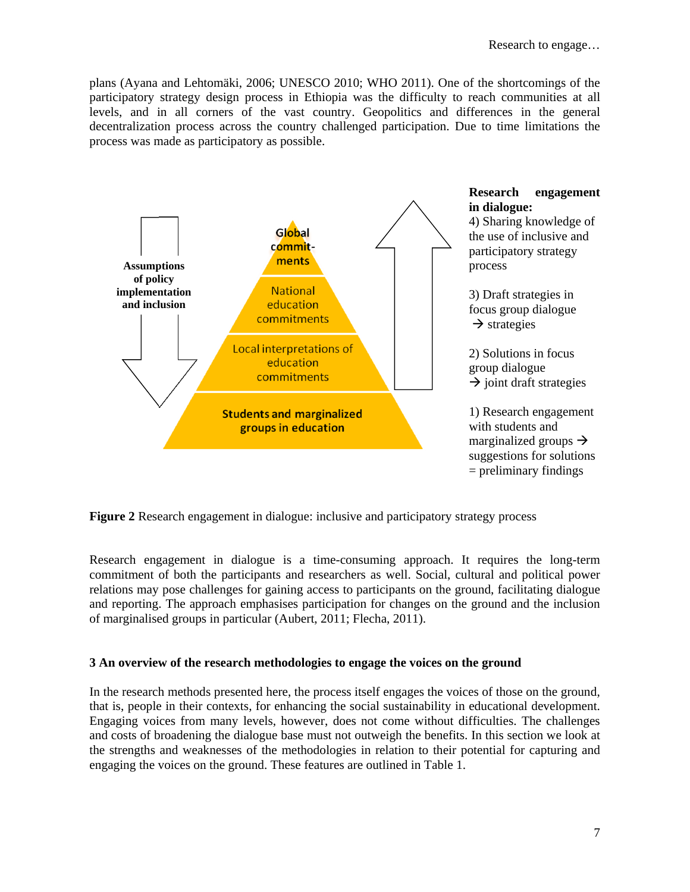plans (Ayana and Lehtomäki, 2006; UNESCO 2010; WHO 2011). One of the shortcomings of the participatory strategy design process in Ethiopia was the difficulty to reach communities at all levels, and in all corners of the vast country. Geopolitics and differences in the general decentralization process across the country challenged participation. Due to time limitations the process was made as participatory as possible.



**Figure 2** Research engagement in dialogue: inclusive and participatory strategy process

Research engagement in dialogue is a time-consuming approach. It requires the long-term commitment of both the participants and researchers as well. Social, cultural and political power relations may pose challenges for gaining access to participants on the ground, facilitating dialogue and reporting. The approach emphasises participation for changes on the ground and the inclusion of marginalised groups in particular (Aubert, 2011; Flecha, 2011).

## **3 An overview of the research methodologies to engage the voices on the ground**

In the research methods presented here, the process itself engages the voices of those on the ground, that is, people in their contexts, for enhancing the social sustainability in educational development. Engaging voices from many levels, however, does not come without difficulties. The challenges and costs of broadening the dialogue base must not outweigh the benefits. In this section we look at the strengths and weaknesses of the methodologies in relation to their potential for capturing and engaging the voices on the ground. These features are outlined in Table 1.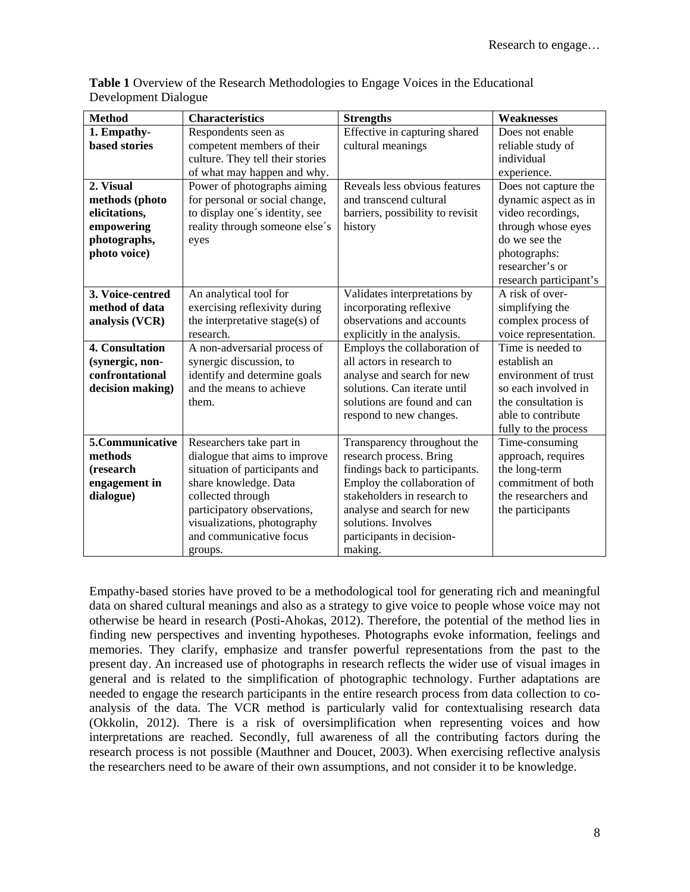| <b>Method</b>        | <b>Characteristics</b>           | <b>Strengths</b>                 | <b>Weaknesses</b>      |
|----------------------|----------------------------------|----------------------------------|------------------------|
| 1. Empathy-          | Respondents seen as              | Effective in capturing shared    | Does not enable        |
| <b>based stories</b> | competent members of their       | cultural meanings                | reliable study of      |
|                      | culture. They tell their stories |                                  | individual             |
|                      | of what may happen and why.      |                                  | experience.            |
| 2. Visual            | Power of photographs aiming      | Reveals less obvious features    | Does not capture the   |
| methods (photo       | for personal or social change,   | and transcend cultural           | dynamic aspect as in   |
| elicitations,        | to display one's identity, see   | barriers, possibility to revisit | video recordings,      |
| empowering           | reality through someone else's   | history                          | through whose eyes     |
| photographs,         | eyes                             |                                  | do we see the          |
| photo voice)         |                                  |                                  | photographs:           |
|                      |                                  |                                  | researcher's or        |
|                      |                                  |                                  | research participant's |
| 3. Voice-centred     | An analytical tool for           | Validates interpretations by     | A risk of over-        |
| method of data       | exercising reflexivity during    | incorporating reflexive          | simplifying the        |
| analysis (VCR)       | the interpretative stage(s) of   | observations and accounts        | complex process of     |
|                      | research.                        | explicitly in the analysis.      | voice representation.  |
| 4. Consultation      | A non-adversarial process of     | Employs the collaboration of     | Time is needed to      |
| (synergic, non-      | synergic discussion, to          | all actors in research to        | establish an           |
| confrontational      | identify and determine goals     | analyse and search for new       | environment of trust   |
| decision making)     | and the means to achieve         | solutions. Can iterate until     | so each involved in    |
|                      | them.                            | solutions are found and can      | the consultation is    |
|                      |                                  | respond to new changes.          | able to contribute     |
|                      |                                  |                                  | fully to the process   |
| 5.Communicative      | Researchers take part in         | Transparency throughout the      | Time-consuming         |
| methods              | dialogue that aims to improve    | research process. Bring          | approach, requires     |
| (research            | situation of participants and    | findings back to participants.   | the long-term          |
| engagement in        | share knowledge. Data            | Employ the collaboration of      | commitment of both     |
| dialogue)            | collected through                | stakeholders in research to      | the researchers and    |
|                      | participatory observations,      | analyse and search for new       | the participants       |
|                      | visualizations, photography      | solutions. Involves              |                        |
|                      | and communicative focus          | participants in decision-        |                        |
|                      | groups.                          | making.                          |                        |

**Table 1** Overview of the Research Methodologies to Engage Voices in the Educational Development Dialogue

Empathy-based stories have proved to be a methodological tool for generating rich and meaningful data on shared cultural meanings and also as a strategy to give voice to people whose voice may not otherwise be heard in research (Posti-Ahokas, 2012). Therefore, the potential of the method lies in finding new perspectives and inventing hypotheses. Photographs evoke information, feelings and memories. They clarify, emphasize and transfer powerful representations from the past to the present day. An increased use of photographs in research reflects the wider use of visual images in general and is related to the simplification of photographic technology. Further adaptations are needed to engage the research participants in the entire research process from data collection to coanalysis of the data. The VCR method is particularly valid for contextualising research data (Okkolin, 2012). There is a risk of oversimplification when representing voices and how interpretations are reached. Secondly, full awareness of all the contributing factors during the research process is not possible (Mauthner and Doucet, 2003). When exercising reflective analysis the researchers need to be aware of their own assumptions, and not consider it to be knowledge.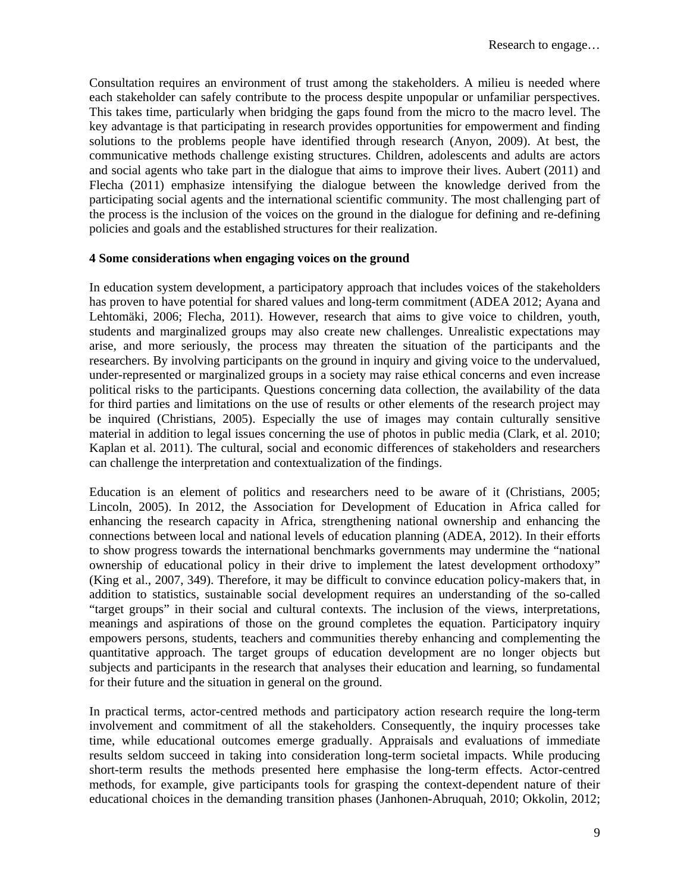Consultation requires an environment of trust among the stakeholders. A milieu is needed where each stakeholder can safely contribute to the process despite unpopular or unfamiliar perspectives. This takes time, particularly when bridging the gaps found from the micro to the macro level. The key advantage is that participating in research provides opportunities for empowerment and finding solutions to the problems people have identified through research (Anyon, 2009). At best, the communicative methods challenge existing structures. Children, adolescents and adults are actors and social agents who take part in the dialogue that aims to improve their lives. Aubert (2011) and Flecha (2011) emphasize intensifying the dialogue between the knowledge derived from the participating social agents and the international scientific community. The most challenging part of the process is the inclusion of the voices on the ground in the dialogue for defining and re-defining policies and goals and the established structures for their realization.

## **4 Some considerations when engaging voices on the ground**

In education system development, a participatory approach that includes voices of the stakeholders has proven to have potential for shared values and long-term commitment (ADEA 2012; Ayana and Lehtomäki, 2006; Flecha, 2011). However, research that aims to give voice to children, youth, students and marginalized groups may also create new challenges. Unrealistic expectations may arise, and more seriously, the process may threaten the situation of the participants and the researchers. By involving participants on the ground in inquiry and giving voice to the undervalued, under-represented or marginalized groups in a society may raise ethical concerns and even increase political risks to the participants. Questions concerning data collection, the availability of the data for third parties and limitations on the use of results or other elements of the research project may be inquired (Christians, 2005). Especially the use of images may contain culturally sensitive material in addition to legal issues concerning the use of photos in public media (Clark, et al. 2010; Kaplan et al. 2011). The cultural, social and economic differences of stakeholders and researchers can challenge the interpretation and contextualization of the findings.

Education is an element of politics and researchers need to be aware of it (Christians, 2005; Lincoln, 2005). In 2012, the Association for Development of Education in Africa called for enhancing the research capacity in Africa, strengthening national ownership and enhancing the connections between local and national levels of education planning (ADEA, 2012). In their efforts to show progress towards the international benchmarks governments may undermine the "national ownership of educational policy in their drive to implement the latest development orthodoxy" (King et al., 2007, 349). Therefore, it may be difficult to convince education policy-makers that, in addition to statistics, sustainable social development requires an understanding of the so-called "target groups" in their social and cultural contexts. The inclusion of the views, interpretations, meanings and aspirations of those on the ground completes the equation. Participatory inquiry empowers persons, students, teachers and communities thereby enhancing and complementing the quantitative approach. The target groups of education development are no longer objects but subjects and participants in the research that analyses their education and learning, so fundamental for their future and the situation in general on the ground.

In practical terms, actor-centred methods and participatory action research require the long-term involvement and commitment of all the stakeholders. Consequently, the inquiry processes take time, while educational outcomes emerge gradually. Appraisals and evaluations of immediate results seldom succeed in taking into consideration long-term societal impacts. While producing short-term results the methods presented here emphasise the long-term effects. Actor-centred methods, for example, give participants tools for grasping the context-dependent nature of their educational choices in the demanding transition phases (Janhonen-Abruquah, 2010; Okkolin, 2012;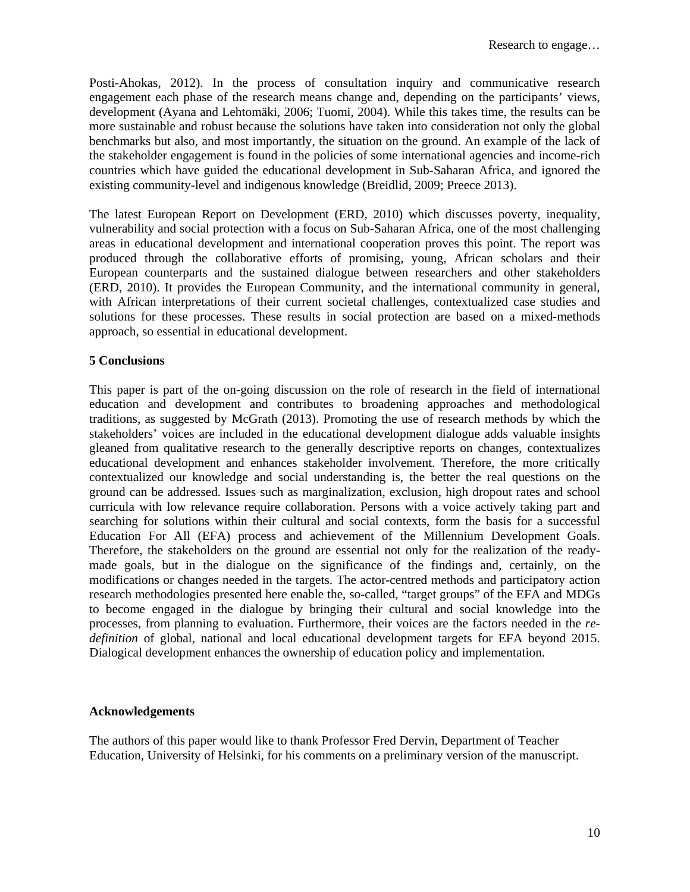Posti-Ahokas, 2012). In the process of consultation inquiry and communicative research engagement each phase of the research means change and, depending on the participants' views, development (Ayana and Lehtomäki, 2006; Tuomi, 2004). While this takes time, the results can be more sustainable and robust because the solutions have taken into consideration not only the global benchmarks but also, and most importantly, the situation on the ground. An example of the lack of the stakeholder engagement is found in the policies of some international agencies and income-rich countries which have guided the educational development in Sub-Saharan Africa, and ignored the existing community-level and indigenous knowledge (Breidlid, 2009; Preece 2013).

The latest European Report on Development (ERD, 2010) which discusses poverty, inequality, vulnerability and social protection with a focus on Sub-Saharan Africa, one of the most challenging areas in educational development and international cooperation proves this point. The report was produced through the collaborative efforts of promising, young, African scholars and their European counterparts and the sustained dialogue between researchers and other stakeholders (ERD, 2010). It provides the European Community, and the international community in general, with African interpretations of their current societal challenges, contextualized case studies and solutions for these processes. These results in social protection are based on a mixed-methods approach, so essential in educational development.

## **5 Conclusions**

This paper is part of the on-going discussion on the role of research in the field of international education and development and contributes to broadening approaches and methodological traditions, as suggested by McGrath (2013). Promoting the use of research methods by which the stakeholders' voices are included in the educational development dialogue adds valuable insights gleaned from qualitative research to the generally descriptive reports on changes, contextualizes educational development and enhances stakeholder involvement. Therefore, the more critically contextualized our knowledge and social understanding is, the better the real questions on the ground can be addressed. Issues such as marginalization, exclusion, high dropout rates and school curricula with low relevance require collaboration. Persons with a voice actively taking part and searching for solutions within their cultural and social contexts, form the basis for a successful Education For All (EFA) process and achievement of the Millennium Development Goals. Therefore, the stakeholders on the ground are essential not only for the realization of the readymade goals, but in the dialogue on the significance of the findings and, certainly, on the modifications or changes needed in the targets. The actor-centred methods and participatory action research methodologies presented here enable the, so-called, "target groups" of the EFA and MDGs to become engaged in the dialogue by bringing their cultural and social knowledge into the processes, from planning to evaluation. Furthermore, their voices are the factors needed in the *redefinition* of global, national and local educational development targets for EFA beyond 2015. Dialogical development enhances the ownership of education policy and implementation.

## **Acknowledgements**

The authors of this paper would like to thank Professor Fred Dervin, Department of Teacher Education, University of Helsinki, for his comments on a preliminary version of the manuscript.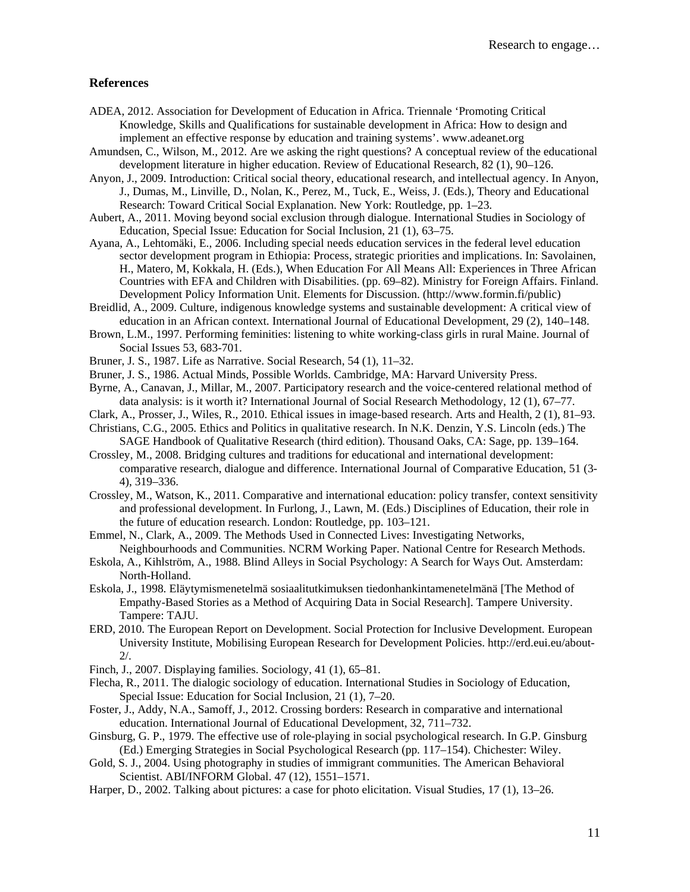#### **References**

- ADEA, 2012. Association for Development of Education in Africa. Triennale 'Promoting Critical Knowledge, Skills and Qualifications for sustainable development in Africa: How to design and implement an effective response by education and training systems'. www.adeanet.org
- Amundsen, C., Wilson, M., 2012. Are we asking the right questions? A conceptual review of the educational development literature in higher education. Review of Educational Research, 82 (1), 90–126.
- Anyon, J., 2009. Introduction: Critical social theory, educational research, and intellectual agency. In Anyon, J., Dumas, M., Linville, D., Nolan, K., Perez, M., Tuck, E., Weiss, J. (Eds.), Theory and Educational Research: Toward Critical Social Explanation. New York: Routledge, pp. 1–23.
- Aubert, A., 2011. Moving beyond social exclusion through dialogue. International Studies in Sociology of Education, Special Issue: Education for Social Inclusion, 21 (1), 63–75.
- Ayana, A., Lehtomäki, E., 2006. Including special needs education services in the federal level education sector development program in Ethiopia: Process, strategic priorities and implications. In: Savolainen, H., Matero, M, Kokkala, H. (Eds.), When Education For All Means All: Experiences in Three African Countries with EFA and Children with Disabilities. (pp. 69–82). Ministry for Foreign Affairs. Finland. Development Policy Information Unit. Elements for Discussion. (http://www.formin.fi/public)
- Breidlid, A., 2009. Culture, indigenous knowledge systems and sustainable development: A critical view of education in an African context. International Journal of Educational Development, 29 (2), 140–148.
- Brown, L.M., 1997. Performing feminities: listening to white working-class girls in rural Maine. Journal of Social Issues 53, 683-701.
- Bruner, J. S., 1987. Life as Narrative. Social Research, 54 (1), 11–32.
- Bruner, J. S., 1986. Actual Minds, Possible Worlds. Cambridge, MA: Harvard University Press.
- Byrne, A., Canavan, J., Millar, M., 2007. Participatory research and the voice-centered relational method of data analysis: is it worth it? International Journal of Social Research Methodology, 12 (1), 67–77.
- Clark, A., Prosser, J., Wiles, R., 2010. Ethical issues in image-based research. Arts and Health, 2 (1), 81–93.

Christians, C.G., 2005. Ethics and Politics in qualitative research. In N.K. Denzin, Y.S. Lincoln (eds.) The SAGE Handbook of Qualitative Research (third edition). Thousand Oaks, CA: Sage, pp. 139–164.

- Crossley, M., 2008. Bridging cultures and traditions for educational and international development: comparative research, dialogue and difference. International Journal of Comparative Education, 51 (3- 4), 319–336.
- Crossley, M., Watson, K., 2011. Comparative and international education: policy transfer, context sensitivity and professional development. In Furlong, J., Lawn, M. (Eds.) Disciplines of Education, their role in the future of education research. London: Routledge, pp. 103–121.
- Emmel, N., Clark, A., 2009. The Methods Used in Connected Lives: Investigating Networks, Neighbourhoods and Communities. NCRM Working Paper. National Centre for Research Methods.
- Eskola, A., Kihlström, A., 1988. Blind Alleys in Social Psychology: A Search for Ways Out. Amsterdam: North-Holland.
- Eskola, J., 1998. Eläytymismenetelmä sosiaalitutkimuksen tiedonhankintamenetelmänä [The Method of Empathy-Based Stories as a Method of Acquiring Data in Social Research]. Tampere University. Tampere: TAJU.
- ERD, 2010. The European Report on Development. Social Protection for Inclusive Development. European University Institute, Mobilising European Research for Development Policies. http://erd.eui.eu/about-2/.
- Finch, J., 2007. Displaying families. Sociology, 41 (1), 65–81.
- Flecha, R., 2011. The dialogic sociology of education. International Studies in Sociology of Education, Special Issue: Education for Social Inclusion, 21 (1), 7–20.
- Foster, J., Addy, N.A., Samoff, J., 2012. Crossing borders: Research in comparative and international education. International Journal of Educational Development, 32, 711–732.
- Ginsburg, G. P., 1979. The effective use of role-playing in social psychological research. In G.P. Ginsburg (Ed.) Emerging Strategies in Social Psychological Research (pp. 117–154). Chichester: Wiley.
- Gold, S. J., 2004. Using photography in studies of immigrant communities. The American Behavioral Scientist. ABI/INFORM Global. 47 (12), 1551–1571.
- Harper, D., 2002. Talking about pictures: a case for photo elicitation. Visual Studies, 17 (1), 13–26.